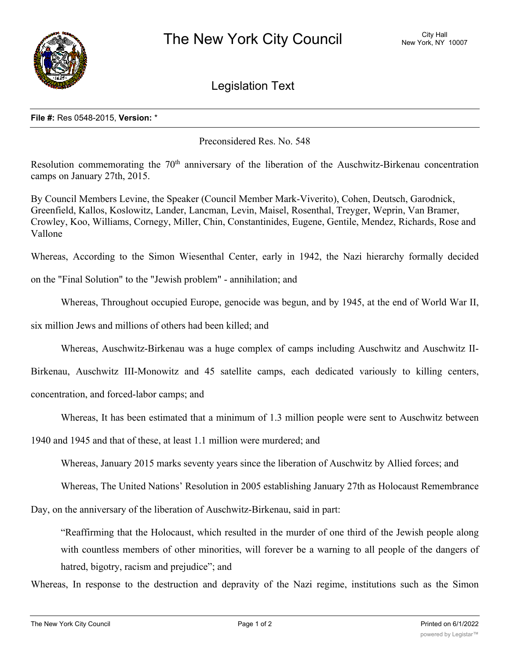

Legislation Text

## **File #:** Res 0548-2015, **Version:** \*

Preconsidered Res. No. 548

Resolution commemorating the  $70<sup>th</sup>$  anniversary of the liberation of the Auschwitz-Birkenau concentration camps on January 27th, 2015.

By Council Members Levine, the Speaker (Council Member Mark-Viverito), Cohen, Deutsch, Garodnick, Greenfield, Kallos, Koslowitz, Lander, Lancman, Levin, Maisel, Rosenthal, Treyger, Weprin, Van Bramer, Crowley, Koo, Williams, Cornegy, Miller, Chin, Constantinides, Eugene, Gentile, Mendez, Richards, Rose and Vallone

Whereas, According to the Simon Wiesenthal Center, early in 1942, the Nazi hierarchy formally decided

on the "Final Solution" to the "Jewish problem" - annihilation; and

Whereas, Throughout occupied Europe, genocide was begun, and by 1945, at the end of World War II,

six million Jews and millions of others had been killed; and

Whereas, Auschwitz-Birkenau was a huge complex of camps including Auschwitz and Auschwitz II-

Birkenau, Auschwitz III-Monowitz and 45 satellite camps, each dedicated variously to killing centers, concentration, and forced-labor camps; and

Whereas, It has been estimated that a minimum of 1.3 million people were sent to Auschwitz between

1940 and 1945 and that of these, at least 1.1 million were murdered; and

Whereas, January 2015 marks seventy years since the liberation of Auschwitz by Allied forces; and

Whereas, The United Nations' Resolution in 2005 establishing January 27th as Holocaust Remembrance

Day, on the anniversary of the liberation of Auschwitz-Birkenau, said in part:

"Reaffirming that the Holocaust, which resulted in the murder of one third of the Jewish people along with countless members of other minorities, will forever be a warning to all people of the dangers of hatred, bigotry, racism and prejudice"; and

Whereas, In response to the destruction and depravity of the Nazi regime, institutions such as the Simon